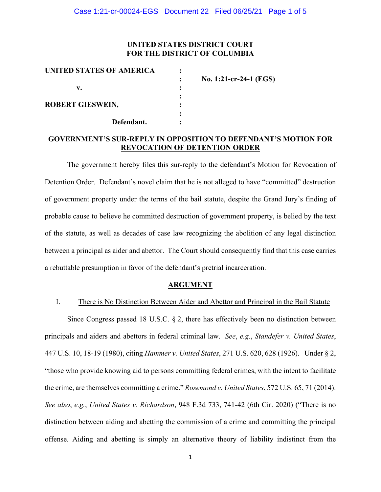# **UNITED STATES DISTRICT COURT FOR THE DISTRICT OF COLUMBIA**

| UNITED STATES OF AMERICA |                        |
|--------------------------|------------------------|
|                          | No. 1:21-cr-24-1 (EGS) |
| v.                       |                        |
|                          |                        |
| <b>ROBERT GIESWEIN,</b>  |                        |
|                          |                        |
| Defendant.               |                        |

# **GOVERNMENT'S SUR-REPLY IN OPPOSITION TO DEFENDANT'S MOTION FOR REVOCATION OF DETENTION ORDER**

The government hereby files this sur-reply to the defendant's Motion for Revocation of Detention Order. Defendant's novel claim that he is not alleged to have "committed" destruction of government property under the terms of the bail statute, despite the Grand Jury's finding of probable cause to believe he committed destruction of government property, is belied by the text of the statute, as well as decades of case law recognizing the abolition of any legal distinction between a principal as aider and abettor. The Court should consequently find that this case carries a rebuttable presumption in favor of the defendant's pretrial incarceration.

#### **ARGUMENT**

## I. There is No Distinction Between Aider and Abettor and Principal in the Bail Statute

Since Congress passed 18 U.S.C. § 2, there has effectively been no distinction between principals and aiders and abettors in federal criminal law. *See*, *e.g.*, *Standefer v. United States*, 447 U.S. 10, 18-19 (1980), citing *Hammer v. United States*, 271 U.S. 620, 628 (1926). Under § 2, "those who provide knowing aid to persons committing federal crimes, with the intent to facilitate the crime, are themselves committing a crime." *Rosemond v. United States*, 572 U.S. 65, 71 (2014). *See also*, *e.g.*, *United States v. Richardson*, 948 F.3d 733, 741-42 (6th Cir. 2020) ("There is no distinction between aiding and abetting the commission of a crime and committing the principal offense. Aiding and abetting is simply an alternative theory of liability indistinct from the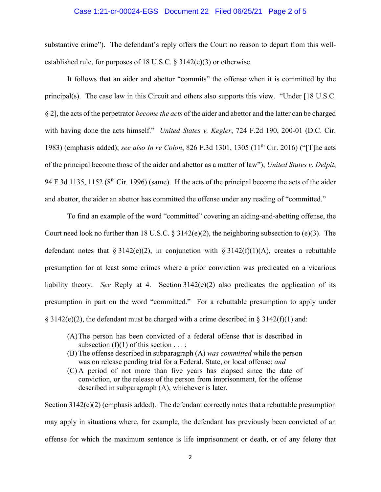#### Case 1:21-cr-00024-EGS Document 22 Filed 06/25/21 Page 2 of 5

substantive crime"). The defendant's reply offers the Court no reason to depart from this wellestablished rule, for purposes of 18 U.S.C. § 3142(e)(3) or otherwise.

It follows that an aider and abettor "commits" the offense when it is committed by the principal(s). The case law in this Circuit and others also supports this view. "Under [18 U.S.C. § 2], the acts of the perpetrator *become the acts* of the aider and abettor and the latter can be charged with having done the acts himself." *United States v. Kegler*, 724 F.2d 190, 200-01 (D.C. Cir. 1983) (emphasis added); *see also In re Colon*, 826 F.3d 1301, 1305 (11th Cir. 2016) ("[T]he acts of the principal become those of the aider and abettor as a matter of law"); *United States v. Delpit*, 94 F.3d 1135, 1152 (8<sup>th</sup> Cir. 1996) (same). If the acts of the principal become the acts of the aider and abettor, the aider an abettor has committed the offense under any reading of "committed."

To find an example of the word "committed" covering an aiding-and-abetting offense, the Court need look no further than 18 U.S.C. § 3142(e)(2), the neighboring subsection to (e)(3). The defendant notes that  $\S 3142(e)(2)$ , in conjunction with  $\S 3142(f)(1)(A)$ , creates a rebuttable presumption for at least some crimes where a prior conviction was predicated on a vicarious liability theory. *See* Reply at 4. Section 3142(e)(2) also predicates the application of its presumption in part on the word "committed." For a rebuttable presumption to apply under § 3142(e)(2), the defendant must be charged with a crime described in § 3142(f)(1) and:

- (A)The person has been convicted of a federal offense that is described in subsection  $(f)(1)$  of this section  $\dots$ ;
- (B) The offense described in subparagraph (A) *was committed* while the person was on release pending trial for a Federal, State, or local offense; *and*
- (C) A period of not more than five years has elapsed since the date of conviction, or the release of the person from imprisonment, for the offense described in subparagraph (A), whichever is later.

Section 3142(e)(2) (emphasis added). The defendant correctly notes that a rebuttable presumption may apply in situations where, for example, the defendant has previously been convicted of an offense for which the maximum sentence is life imprisonment or death, or of any felony that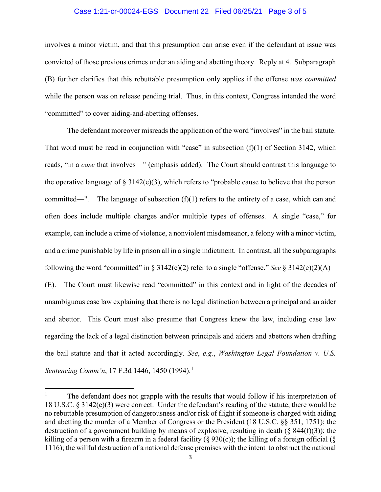#### Case 1:21-cr-00024-EGS Document 22 Filed 06/25/21 Page 3 of 5

involves a minor victim, and that this presumption can arise even if the defendant at issue was convicted of those previous crimes under an aiding and abetting theory. Reply at 4. Subparagraph (B) further clarifies that this rebuttable presumption only applies if the offense *was committed* while the person was on release pending trial. Thus, in this context, Congress intended the word "committed" to cover aiding-and-abetting offenses.

The defendant moreover misreads the application of the word "involves" in the bail statute. That word must be read in conjunction with "case" in subsection  $(f)(1)$  of Section 3142, which reads, "in a *case* that involves—" (emphasis added). The Court should contrast this language to the operative language of  $\S 3142(e)(3)$ , which refers to "probable cause to believe that the person committed—". The language of subsection  $(f)(1)$  refers to the entirety of a case, which can and often does include multiple charges and/or multiple types of offenses. A single "case," for example, can include a crime of violence, a nonviolent misdemeanor, a felony with a minor victim, and a crime punishable by life in prison all in a single indictment. In contrast, all the subparagraphs following the word "committed" in § 3142(e)(2) refer to a single "offense." *See* § 3142(e)(2)(A) – (E). The Court must likewise read "committed" in this context and in light of the decades of unambiguous case law explaining that there is no legal distinction between a principal and an aider and abettor. This Court must also presume that Congress knew the law, including case law regarding the lack of a legal distinction between principals and aiders and abettors when drafting the bail statute and that it acted accordingly. *See*, *e.g.*, *Washington Legal Foundation v. U.S. Sentencing Comm'n*, 17 F.3d 1446, 1450 (1994). 1

<sup>&</sup>lt;sup>1</sup> The defendant does not grapple with the results that would follow if his interpretation of 18 U.S.C. § 3142(e)(3) were correct. Under the defendant's reading of the statute, there would be no rebuttable presumption of dangerousness and/or risk of flight if someone is charged with aiding and abetting the murder of a Member of Congress or the President (18 U.S.C. §§ 351, 1751); the destruction of a government building by means of explosive, resulting in death  $(\S$  844(f)(3)); the killing of a person with a firearm in a federal facility ( $\S$  930(c)); the killing of a foreign official ( $\S$ 1116); the willful destruction of a national defense premises with the intent to obstruct the national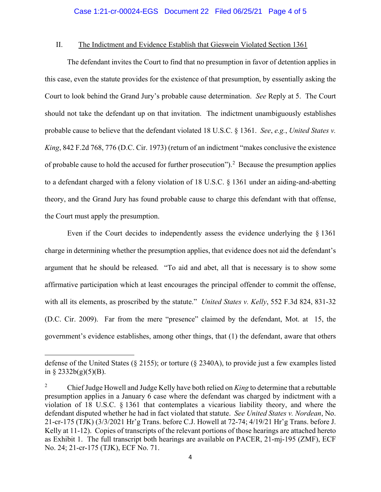### II. The Indictment and Evidence Establish that Gieswein Violated Section 1361

The defendant invites the Court to find that no presumption in favor of detention applies in this case, even the statute provides for the existence of that presumption, by essentially asking the Court to look behind the Grand Jury's probable cause determination. *See* Reply at 5. The Court should not take the defendant up on that invitation. The indictment unambiguously establishes probable cause to believe that the defendant violated 18 U.S.C. § 1361. *See*, *e.g.*, *United States v. King*, 842 F.2d 768, 776 (D.C. Cir. 1973) (return of an indictment "makes conclusive the existence of probable cause to hold the accused for further prosecution").<sup>2</sup> Because the presumption applies to a defendant charged with a felony violation of 18 U.S.C. § 1361 under an aiding-and-abetting theory, and the Grand Jury has found probable cause to charge this defendant with that offense, the Court must apply the presumption.

Even if the Court decides to independently assess the evidence underlying the § 1361 charge in determining whether the presumption applies, that evidence does not aid the defendant's argument that he should be released. "To aid and abet, all that is necessary is to show some affirmative participation which at least encourages the principal offender to commit the offense, with all its elements, as proscribed by the statute." *United States v. Kelly*, 552 F.3d 824, 831-32 (D.C. Cir. 2009). Far from the mere "presence" claimed by the defendant, Mot. at 15, the government's evidence establishes, among other things, that (1) the defendant, aware that others

defense of the United States (§ 2155); or torture (§ 2340A), to provide just a few examples listed in § 2332b(g)(5)(B).

<sup>2</sup> Chief Judge Howell and Judge Kelly have both relied on *King* to determine that a rebuttable presumption applies in a January 6 case where the defendant was charged by indictment with a violation of 18 U.S.C. § 1361 that contemplates a vicarious liability theory, and where the defendant disputed whether he had in fact violated that statute. *See United States v. Nordean*, No. 21-cr-175 (TJK) (3/3/2021 Hr'g Trans. before C.J. Howell at 72-74; 4/19/21 Hr'g Trans. before J. Kelly at 11-12). Copies of transcripts of the relevant portions of those hearings are attached hereto as Exhibit 1. The full transcript both hearings are available on PACER, 21-mj-195 (ZMF), ECF No. 24; 21-cr-175 (TJK), ECF No. 71.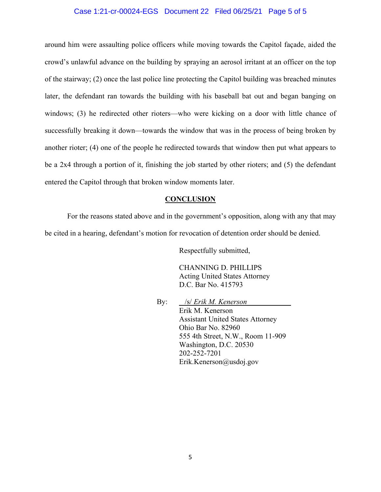#### Case 1:21-cr-00024-EGS Document 22 Filed 06/25/21 Page 5 of 5

around him were assaulting police officers while moving towards the Capitol façade, aided the crowd's unlawful advance on the building by spraying an aerosol irritant at an officer on the top of the stairway; (2) once the last police line protecting the Capitol building was breached minutes later, the defendant ran towards the building with his baseball bat out and began banging on windows; (3) he redirected other rioters—who were kicking on a door with little chance of successfully breaking it down—towards the window that was in the process of being broken by another rioter; (4) one of the people he redirected towards that window then put what appears to be a 2x4 through a portion of it, finishing the job started by other rioters; and (5) the defendant entered the Capitol through that broken window moments later.

#### **CONCLUSION**

For the reasons stated above and in the government's opposition, along with any that may be cited in a hearing, defendant's motion for revocation of detention order should be denied.

Respectfully submitted,

CHANNING D. PHILLIPS Acting United States Attorney D.C. Bar No. 415793

By: /s/ *Erik M. Kenerson* Erik M. Kenerson Assistant United States Attorney Ohio Bar No. 82960 555 4th Street, N.W., Room 11-909 Washington, D.C. 20530 202-252-7201 Erik.Kenerson@usdoj.gov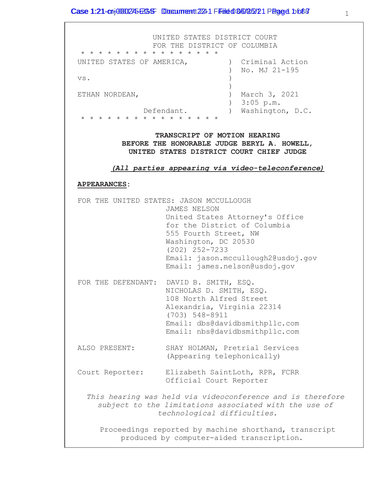UNITED STATES DISTRICT COURT FOR THE DISTRICT OF COLUMBIA \* \* \* \* \* \* \* \* \* \* \* \* \* \* \* \* UNITED STATES OF AMERICA,  $\overline{C}$  (riminal Action ) No. MJ 21-195 vs. ) ETHAN NORDEAN, ) March 3, 2021 ) 3:05 p.m. Defendant. ) Washington, D.C. \* \* \* \* \* \* \* \* \* \* \* \* \* \* \* \* **TRANSCRIPT OF MOTION HEARING BEFORE THE HONORABLE JUDGE BERYL A. HOWELL, UNITED STATES DISTRICT COURT CHIEF JUDGE** *(All parties appearing via video-teleconference)*

### **APPEARANCES:**

FOR THE UNITED STATES: JASON MCCULLOUGH JAMES NELSON United States Attorney's Office for the District of Columbia 555 Fourth Street, NW Washington, DC 20530 (202) 252-7233 Email: jason.mccullough2@usdoj.gov Email: james.nelson@usdoj.gov FOR THE DEFENDANT: DAVID B. SMITH, ESQ. NICHOLAS D. SMITH, ESQ. 108 North Alfred Street Alexandria, Virginia 22314 (703) 548-8911 Email: dbs@davidbsmithpllc.com Email: nbs@davidbsmithpllc.com ALSO PRESENT: SHAY HOLMAN, Pretrial Services (Appearing telephonically) Court Reporter: Elizabeth SaintLoth, RPR, FCRR Official Court Reporter *This hearing was held via videoconference and is therefore subject to the limitations associated with the use of technological difficulties.* Proceedings reported by machine shorthand, transcript produced by computer-aided transcription.

1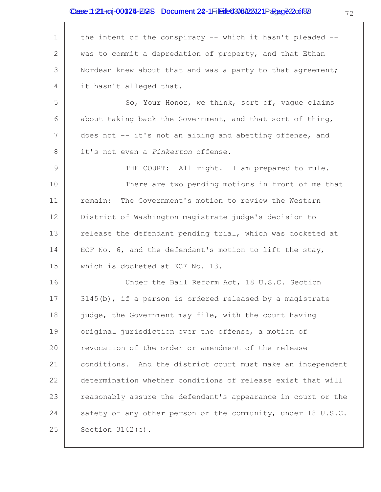# Case 1:21-cij-00025-EGS Document 22-1 Fileited 306/28121 Page 02 of 88

| 1  | the intent of the conspiracy -- which it hasn't pleaded --   |
|----|--------------------------------------------------------------|
| 2  | was to commit a depredation of property, and that Ethan      |
| 3  | Nordean knew about that and was a party to that agreement;   |
| 4  | it hasn't alleged that.                                      |
| 5  | So, Your Honor, we think, sort of, vaque claims              |
| 6  | about taking back the Government, and that sort of thing,    |
| 7  | does not -- it's not an aiding and abetting offense, and     |
| 8  | it's not even a Pinkerton offense.                           |
| 9  | THE COURT: All right. I am prepared to rule.                 |
| 10 | There are two pending motions in front of me that            |
| 11 | The Government's motion to review the Western<br>remain:     |
| 12 | District of Washington magistrate judge's decision to        |
| 13 | release the defendant pending trial, which was docketed at   |
| 14 | ECF No. 6, and the defendant's motion to lift the stay,      |
| 15 | which is docketed at ECF No. 13.                             |
| 16 | Under the Bail Reform Act, 18 U.S.C. Section                 |
| 17 | 3145(b), if a person is ordered released by a magistrate     |
| 18 | judge, the Government may file, with the court having        |
| 19 | original jurisdiction over the offense, a motion of          |
| 20 | revocation of the order or amendment of the release          |
| 21 | conditions. And the district court must make an independent  |
| 22 | determination whether conditions of release exist that will  |
| 23 | reasonably assure the defendant's appearance in court or the |
| 24 | safety of any other person or the community, under 18 U.S.C. |
| 25 | Section $3142(e)$ .                                          |

72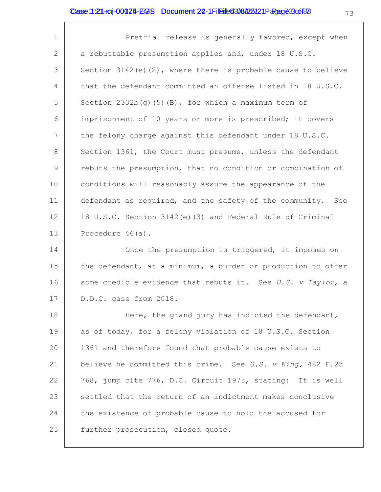1 2 3 4 5 6 7 8 9 10 11 12 13 Pretrial release is generally favored, except when a rebuttable presumption applies and, under 18 U.S.C. Section  $3142(e)(2)$ , where there is probable cause to believe that the defendant committed an offense listed in 18 U.S.C. Section  $2332b(g)$ (5)(B), for which a maximum term of imprisonment of 10 years or more is prescribed; it covers the felony charge against this defendant under 18 U.S.C. Section 1361, the Court must presume, unless the defendant rebuts the presumption, that no condition or combination of conditions will reasonably assure the appearance of the defendant as required, and the safety of the community. See 18 U.S.C. Section 3142(e)(3) and Federal Rule of Criminal Procedure 46(a).

14 15 16 17 Once the presumption is triggered, it imposes on the defendant, at a minimum, a burden or production to offer some credible evidence that rebuts it. See *U.S. v Taylor*, a D.D.C. case from 2018.

18 19 20 21 22 23 24 25 Here, the grand jury has indicted the defendant, as of today, for a felony violation of 18 U.S.C. Section 1361 and therefore found that probable cause exists to believe he committed this crime. See *U.S. v King,* 482 F.2d 768, jump cite 776, D.C. Circuit 1973, stating: It is well settled that the return of an indictment makes conclusive the existence of probable cause to hold the accused for further prosecution, closed quote.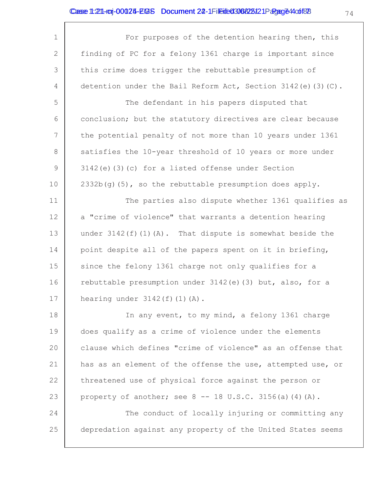| $\mathbf 1$  | For purposes of the detention hearing then, this                 |
|--------------|------------------------------------------------------------------|
| $\mathbf{2}$ | finding of PC for a felony 1361 charge is important since        |
| 3            | this crime does trigger the rebuttable presumption of            |
| 4            | detention under the Bail Reform Act, Section 3142 (e) $(3)$ (C). |
| 5            | The defendant in his papers disputed that                        |
| 6            | conclusion; but the statutory directives are clear because       |
| 7            | the potential penalty of not more than 10 years under 1361       |
| 8            | satisfies the 10-year threshold of 10 years or more under        |
| 9            | 3142(e)(3)(c) for a listed offense under Section                 |
| 10           | $2332b(g)$ (5), so the rebuttable presumption does apply.        |
| 11           | The parties also dispute whether 1361 qualifies as               |
| 12           | a "crime of violence" that warrants a detention hearing          |
| 13           | under $3142(f)(1)(A)$ . That dispute is somewhat beside the      |
| 14           | point despite all of the papers spent on it in briefing,         |
| 15           | since the felony 1361 charge not only qualifies for a            |
| 16           | rebuttable presumption under 3142(e)(3) but, also, for a         |
| 17           | hearing under $3142(f)$ (1) (A).                                 |
| 18           | In any event, to my mind, a felony 1361 charge                   |
| 19           | does qualify as a crime of violence under the elements           |
| 20           | clause which defines "crime of violence" as an offense that      |
| 21           | has as an element of the offense the use, attempted use, or      |
| 22           | threatened use of physical force against the person or           |

23 property of another; see  $8 - - 18$  U.S.C. 3156(a)(4)(A).

24 25 The conduct of locally injuring or committing any depredation against any property of the United States seems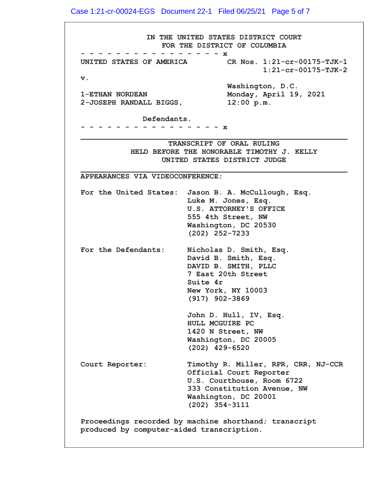Case 1:21-cr-00024-EGS Document 22-1 Filed 06/25/21 Page 5 of 7

IN THE UNITED STATES DISTRICT COURT FOR THE DISTRICT OF COLUMBIA - - - - - - - - - - - - x<br>STATES OF AMERICA CR Nos. 1:21-cr-00175-TJK-1 UNITED STATES OF AMERICA  $1:21-cr-00175-TJK-2$ v. Washington, D.C. (7+\$1125'(\$10RQGD\\$SULO  $2$ -JOSEPH RANDALL BIGGS,  $12:00 \text{ p.m.}$ Defendants. [ BBBBBBBBBBBBBBBBBBBBBBBBBBBBBBBBBBBBBBBBBBBBBBBBBBBBBBBBBBBB TRANSCRIPT OF ORAL RULING HELD BEFORE THE HONORABLE TIMOTHY J. KELLY UNITED STATES DISTRICT JUDGE BBBBBBBBBBBBBBBBBBBBBBBBBBBBBBBBBBBBBBBBBBBBBBBBBBBBBBBBBBBB APPEARANCES VIA VIDEOCONFERENCE: For the United States: Jason B. A. McCullough, Esq. Luke M. Jones, Esq. U.S. ATTORNEY'S OFFICE 555 4th Street, NW Washington, DC 20530  $(202)$  252-7233 For the Defendants: Nicholas D. Smith, Esq. David B. Smith, Esq. DAVID B. SMITH, PLLC 7 East 20th Street Suite 4r New York, NY 10003  $(917)$  902-3869 John D. Hull, IV, Esq. HULL MCGUIRE PC 1420 N Street, NW Washington, DC 20005  $(202)$  429-6520 Court Reporter: Timothy R. Miller, RPR, CRR, NJ-CCR Official Court Reporter U.S. Courthouse, Room 6722 333 Constitution Avenue, NW Washington, DC 20001  $(202)$  354-3111 Proceedings recorded by machine shorthand; transcript produced by computer-aided transcription.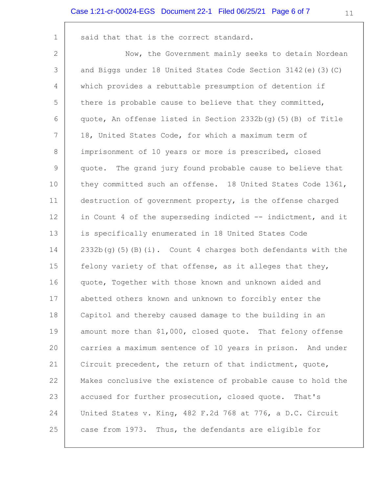#### Case 1:21-cr-00024-EGS Document 22-1 Filed 06/25/21 Page 6 of 7

said that that is the correct standard.

 $\mathbf 1$ 

2 Now, the Government mainly seeks to detain Nordean 3 and Biggs under 18 United States Code Section 3142 (e) (3) (C)  $\overline{4}$ which provides a rebuttable presumption of detention if 5 there is probable cause to believe that they committed, 6 quote, An offense listed in Section 2332b(q)(5)(B) of Title 7 18, United States Code, for which a maximum term of 8 imprisonment of 10 years or more is prescribed, closed  $\mathcal{Q}$ quote. The grand jury found probable cause to believe that  $10$ they committed such an offense. 18 United States Code 1361,  $11$ destruction of government property, is the offense charged  $12$ in Count 4 of the superseding indicted -- indictment, and it 13 is specifically enumerated in 18 United States Code 14 2332b(g)(5)(B)(i). Count 4 charges both defendants with the 15 felony variety of that offense, as it alleges that they, 16 quote, Together with those known and unknown aided and  $17$ abetted others known and unknown to forcibly enter the 18 Capitol and thereby caused damage to the building in an 19 amount more than \$1,000, closed quote. That felony offense  $20$ carries a maximum sentence of 10 years in prison. And under  $21$ Circuit precedent, the return of that indictment, quote, 22 Makes conclusive the existence of probable cause to hold the 23 accused for further prosecution, closed quote. That's 24 United States v. King, 482 F.2d 768 at 776, a D.C. Circuit 25 case from 1973. Thus, the defendants are eligible for

 $11$